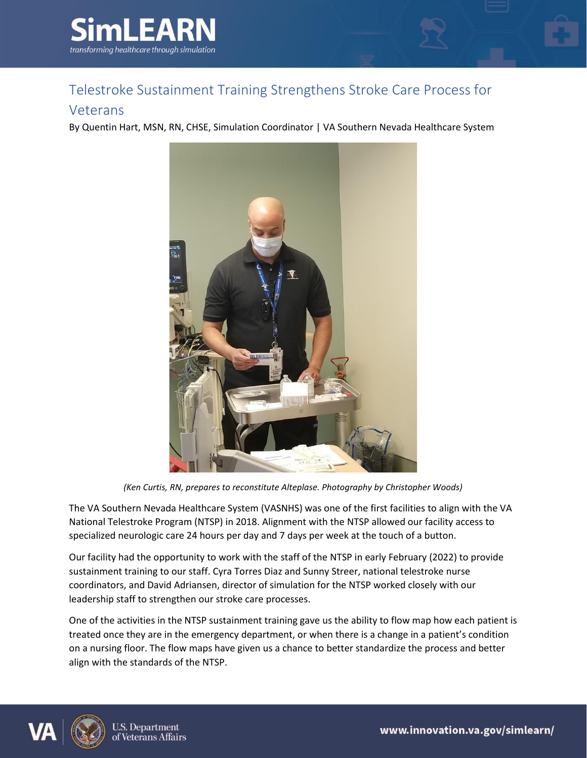

## Telestroke Sustainment Training Strengthens Stroke Care Process for

## Veterans

By Quentin Hart, MSN, RN, CHSE, Simulation Coordinator | VA Southern Nevada Healthcare System



*(Ken Curtis, RN, prepares to reconstitute Alteplase. Photography by Christopher Woods)*

The VA Southern Nevada Healthcare System (VASNHS) was one of the first facilities to align with the VA National Telestroke Program (NTSP) in 2018. Alignment with the NTSP allowed our facility access to specialized neurologic care 24 hours per day and 7 days per week at the touch of a button.

Our facility had the opportunity to work with the staff of the NTSP in early February (2022) to provide sustainment training to our staff. Cyra Torres Diaz and Sunny Streer, national telestroke nurse coordinators, and David Adriansen, director of simulation for the NTSP worked closely with our leadership staff to strengthen our stroke care processes.

One of the activities in the NTSP sustainment training gave us the ability to flow map how each patient is treated once they are in the emergency department, or when there is a change in a patient's condition on a nursing floor. The flow maps have given us a chance to better standardize the process and better align with the standards of the NTSP.